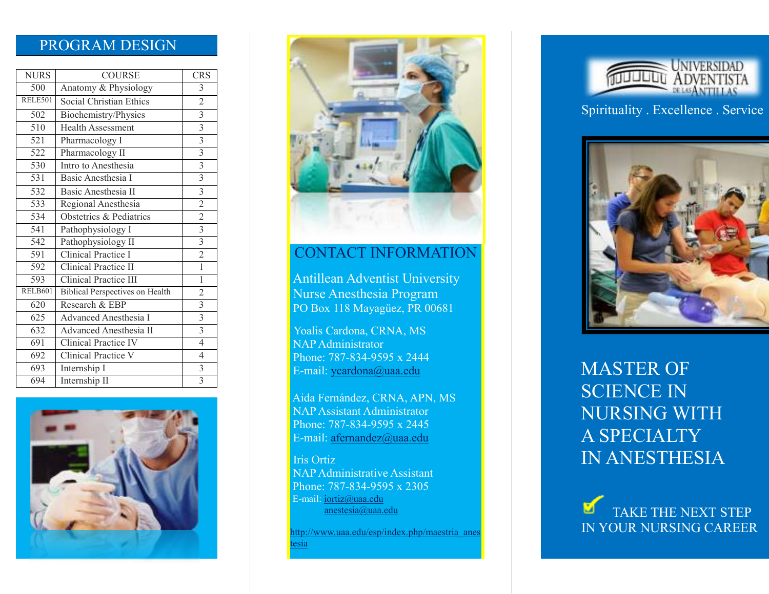### PROGRAM DESIGN

| <b>NURS</b>      | <b>COURSE</b>                          | <b>CRS</b>              |
|------------------|----------------------------------------|-------------------------|
| 500              | Anatomy & Physiology                   | 3                       |
| RELE501          | Social Christian Ethics                | $\overline{2}$          |
| 502              | Biochemistry/Physics                   | $\overline{3}$          |
| $\overline{510}$ | <b>Health Assessment</b>               | $\overline{\mathbf{3}}$ |
| 521              | Pharmacology I                         | $\overline{3}$          |
| 522              | Pharmacology II                        | $\overline{\mathbf{3}}$ |
| 530              | Intro to Anesthesia                    | $\overline{3}$          |
| 531              | Basic Anesthesia I                     | $\overline{\mathbf{3}}$ |
| 532              | Basic Anesthesia II                    | $\overline{3}$          |
| 533              | Regional Anesthesia                    | $\overline{2}$          |
| 534              | Obstetrics & Pediatrics                | $\overline{2}$          |
| 541              | Pathophysiology I                      | $\overline{\mathbf{3}}$ |
| 542              | Pathophysiology II                     | $\overline{3}$          |
| 591              | Clinical Practice I                    | $\overline{2}$          |
| 592              | Clinical Practice II                   | $\overline{1}$          |
| 593              | Clinical Practice III                  | $\mathbf{1}$            |
| RELB601          | <b>Biblical Perspectives on Health</b> | $\overline{2}$          |
| 620              | Research & EBP                         | $\overline{3}$          |
| 625              | Advanced Anesthesia I                  | $\overline{\mathbf{3}}$ |
| 632              | <b>Advanced Anesthesia II</b>          | $\overline{3}$          |
| 691              | Clinical Practice IV                   | $\overline{4}$          |
| 692              | Clinical Practice V                    | $\overline{4}$          |
| 693              | Internship I                           | $\mathfrak{Z}$          |
| 694              | Internship II                          | $\overline{3}$          |





### CONTACT INFORMATION

 Antillean Adventist University Nurse Anesthesia Program PO Box 118 Mayagüez, PR 00681

Yoalis Cardona, CRNA, MS NAP Administrator Phone: 787-834-9595 x 2444 E-mail: ycardona@uaa.edu

Aida Fernández, CRNA, APN, MS NAP Assistant Administrator Phone: 787-834-9595 x 2445 E-mail: afernandez@uaa.edu

 Iris Ortiz NAP Administrative Assistant Phone: 787-834-9595 x 2305 E-mail: iortiz@uaa.edu anestesia@uaa.edu

http://www.uaa.edu/esp/index.php/maestria\_anesesia



Spirituality . Excellence . Service



MASTER OF SCIENCE IN NURSING WITH A SPECIALTY IN ANESTHESIA

TAKE THE NEXT STEP IN YOUR NURSING CAREER